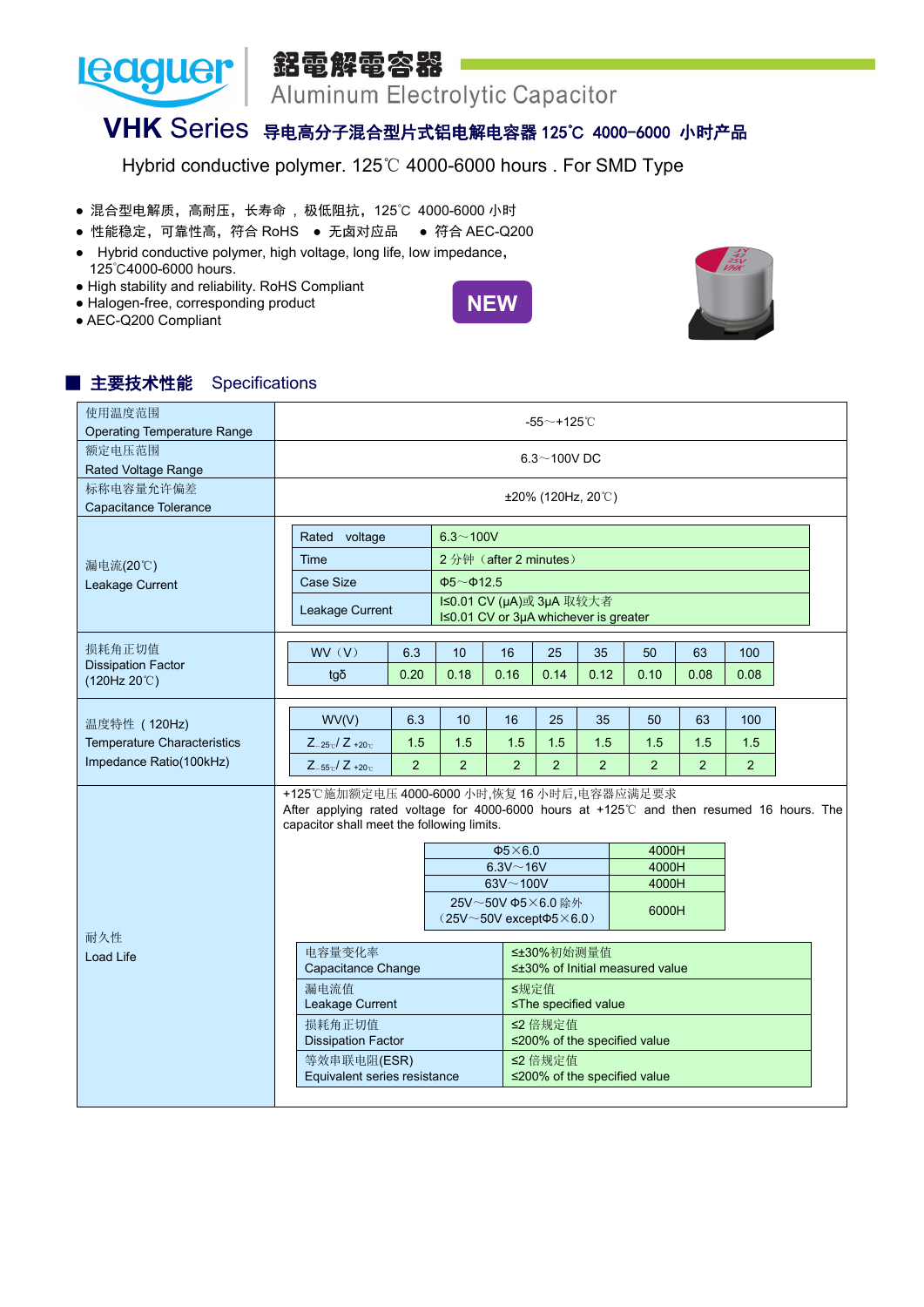銘電解電容器

Aluminum Electrolytic Capacitor

## **VHK** Series 导电高分子混合型片式铝电解电容器 125℃ 4000-6000 小时产品

Hybrid conductive polymer. 125℃ 4000-6000 hours . For SMD Type

- **混合型电解质, 高耐压, 长寿命, 极低阻抗, 125℃ 4000-6000 小时**
- 性能稳定,可靠性高, 符合 RoHS 无卤对应品 符合 AEC-Q200
- Hybrid conductive polymer, high voltage, long life, low impedance, 125℃4000-6000 hours.
- High stability and reliability. RoHS Compliant
- Halogen-free, corresponding product
- AEC-Q200 Compliant

**Leaguer** 





## ■ 主要技术性能 Specifications

| 使用温度范围<br><b>Operating Temperature Range</b>                                      |                                                                                                                                                                                       |                |                       |                                                                              | -55 $\sim$ +125 $^\circ$ C |                |                                 |                |      |  |
|-----------------------------------------------------------------------------------|---------------------------------------------------------------------------------------------------------------------------------------------------------------------------------------|----------------|-----------------------|------------------------------------------------------------------------------|----------------------------|----------------|---------------------------------|----------------|------|--|
| 额定电压范围<br>Rated Voltage Range                                                     |                                                                                                                                                                                       |                |                       |                                                                              | $6.3 - 100V$ DC            |                |                                 |                |      |  |
| 标称电容量允许偏差<br>Capacitance Tolerance                                                |                                                                                                                                                                                       |                |                       |                                                                              | ±20% (120Hz, 20℃)          |                |                                 |                |      |  |
|                                                                                   | Rated voltage                                                                                                                                                                         |                | $6.3 - 100V$          |                                                                              |                            |                |                                 |                |      |  |
| 漏电流(20℃)                                                                          | <b>Time</b>                                                                                                                                                                           |                |                       | 2分钟 (after 2 minutes)                                                        |                            |                |                                 |                |      |  |
| Leakage Current                                                                   | <b>Case Size</b>                                                                                                                                                                      |                | $\Phi$ 5~ $\Phi$ 12.5 |                                                                              |                            |                |                                 |                |      |  |
|                                                                                   | Leakage Current                                                                                                                                                                       |                |                       | I≤0.01 CV (µA)或 3µA 取较大者<br>I≤0.01 CV or 3µA whichever is greater            |                            |                |                                 |                |      |  |
| 损耗角正切值                                                                            | WV(V)                                                                                                                                                                                 | 6.3            | 10                    | 16                                                                           | 25                         | 35             | 50                              | 63             | 100  |  |
| <b>Dissipation Factor</b><br>(120Hz 20°C)                                         | $tq\delta$                                                                                                                                                                            | 0.20           | 0.18                  | 0.16                                                                         | 0.14                       | 0.12           | 0.10                            | 0.08           | 0.08 |  |
| 温度特性 (120Hz)                                                                      | WV(V)                                                                                                                                                                                 | 6.3            | 10                    | 16                                                                           | 25                         | 35             | 50                              | 63             | 100  |  |
|                                                                                   |                                                                                                                                                                                       |                |                       |                                                                              |                            |                |                                 |                |      |  |
|                                                                                   | $Z_{-25c}/Z_{+20c}$                                                                                                                                                                   | 1.5            | 1.5                   | 1.5                                                                          | 1.5                        | 1.5            | 1.5                             | 1.5            | 1.5  |  |
|                                                                                   | $Z_{-55}$ <sub>c</sub> / $Z_{+20}$ <sub>c</sub>                                                                                                                                       | $\overline{2}$ | $\overline{2}$        | $\overline{2}$                                                               | 2 <sup>1</sup>             | $\overline{2}$ | $\overline{2}$                  | $\overline{2}$ | 2    |  |
|                                                                                   | +125℃施加额定电压 4000-6000 小时,恢复 16 小时后,电容器应满足要求<br>After applying rated voltage for 4000-6000 hours at +125℃ and then resumed 16 hours. The<br>capacitor shall meet the following limits. |                |                       |                                                                              |                            |                |                                 |                |      |  |
|                                                                                   |                                                                                                                                                                                       |                |                       | $\Phi$ 5×6.0                                                                 |                            |                | 4000H                           |                |      |  |
|                                                                                   |                                                                                                                                                                                       |                |                       | $6.3V - 16V$                                                                 |                            |                | 4000H                           |                |      |  |
|                                                                                   |                                                                                                                                                                                       |                |                       | $63V - 100V$<br>25V~50V Φ5×6.0 除外<br>$(25V\sim50V$ except $\Phi5\times6.0$ ) |                            |                | 4000H<br>6000H                  |                |      |  |
|                                                                                   | 电容量变化率<br>Capacitance Change                                                                                                                                                          |                |                       |                                                                              | ≤±30%初始测量值                 |                | ≤±30% of Initial measured value |                |      |  |
|                                                                                   | 漏电流值<br>Leakage Current                                                                                                                                                               |                |                       | ≤规定值                                                                         | ≤The specified value       |                |                                 |                |      |  |
| <b>Temperature Characteristics</b><br>Impedance Ratio(100kHz)<br>耐久性<br>Load Life | 损耗角正切值<br><b>Dissipation Factor</b>                                                                                                                                                   |                |                       |                                                                              | ≤2 倍规定值                    |                | ≤200% of the specified value    |                |      |  |
|                                                                                   | 等效串联电阻(ESR)<br>Equivalent series resistance                                                                                                                                           |                |                       |                                                                              | ≤2 倍规定值                    |                | ≤200% of the specified value    |                |      |  |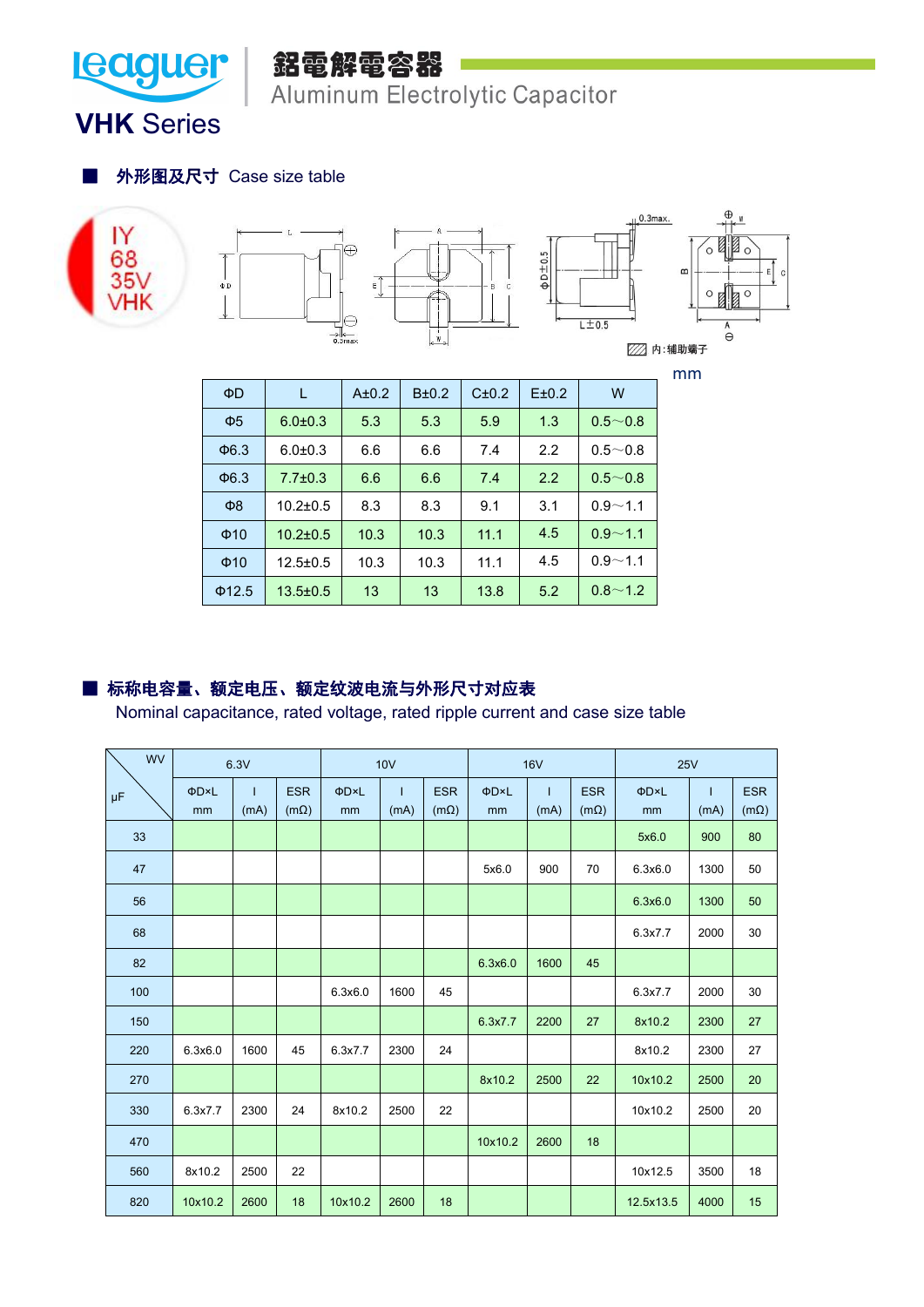

Aluminum Electrolytic Capacitor

**VHK** Series

■ 外形图及尺寸 Case size table







| $\Phi$ D            | L              | A±0.2 | $B\pm0.2$ | C±0.2 | E±0.2 | W           |
|---------------------|----------------|-------|-----------|-------|-------|-------------|
| $\Phi$ <sub>5</sub> | $6.0 \pm 0.3$  | 5.3   | 5.3       | 5.9   | 1.3   | $0.5 - 0.8$ |
| $\Phi$ 6.3          | $6.0 \pm 0.3$  | 6.6   | 6.6       | 7.4   | 2.2   | $0.5 - 0.8$ |
| $\Phi$ 6.3          | $7.7 \pm 0.3$  | 6.6   | 6.6       | 7.4   | 2.2   | $0.5 - 0.8$ |
| $\Phi$ 8            | $10.2 \pm 0.5$ | 8.3   | 8.3       | 9.1   | 3.1   | $0.9 - 1.1$ |
| $\Phi$ 10           | $10.2 \pm 0.5$ | 10.3  | 10.3      | 11.1  | 4.5   | $0.9 - 1.1$ |
| $\Phi$ 10           | $12.5 \pm 0.5$ | 10.3  | 10.3      | 11.1  | 4.5   | $0.9 - 1.1$ |
| $\Phi$ 12.5         | $13.5 \pm 0.5$ | 13    | 13        | 13.8  | 5.2   | $0.8 - 1.2$ |

## ■ 标称电容量、额定电压、额定纹波电流与外形尺寸对应表

Nominal capacitance, rated voltage, rated ripple current and case size table

| <b>WV</b>     |         | 6.3V |             | 10V     |      |             |         | <b>16V</b> |             | <b>25V</b> |              |             |  |
|---------------|---------|------|-------------|---------|------|-------------|---------|------------|-------------|------------|--------------|-------------|--|
| $\mu\text{F}$ | ΦD×L    | т    | <b>ESR</b>  | ΦD×L    |      | <b>ESR</b>  | ΦD×L    | -1         | <b>ESR</b>  | ΦD×L       | $\mathbf{I}$ | <b>ESR</b>  |  |
|               | mm      | (mA) | $(m\Omega)$ | mm      | (mA) | $(m\Omega)$ | mm      | (mA)       | $(m\Omega)$ | mm         | (mA)         | $(m\Omega)$ |  |
| 33            |         |      |             |         |      |             |         |            |             | 5x6.0      | 900          | 80          |  |
| 47            |         |      |             |         |      |             | 5x6.0   | 900        | 70          | 6.3x6.0    | 1300         | 50          |  |
| 56            |         |      |             |         |      |             |         |            |             | 6.3x6.0    | 1300         | 50          |  |
| 68            |         |      |             |         |      |             |         |            |             | 6.3x7.7    | 2000         | 30          |  |
| 82            |         |      |             |         |      |             | 6.3x6.0 | 1600       | 45          |            |              |             |  |
| 100           |         |      |             | 6.3x6.0 | 1600 | 45          |         |            |             | 6.3x7.7    | 2000         | 30          |  |
| 150           |         |      |             |         |      |             | 6.3x7.7 | 2200       | 27          | 8x10.2     | 2300         | 27          |  |
| 220           | 6.3x6.0 | 1600 | 45          | 6.3x7.7 | 2300 | 24          |         |            |             | 8x10.2     | 2300         | 27          |  |
| 270           |         |      |             |         |      |             | 8x10.2  | 2500       | 22          | 10x10.2    | 2500         | 20          |  |
| 330           | 6.3x7.7 | 2300 | 24          | 8x10.2  | 2500 | 22          |         |            |             | 10x10.2    | 2500         | 20          |  |
| 470           |         |      |             |         |      |             | 10x10.2 | 2600       | 18          |            |              |             |  |
| 560           | 8x10.2  | 2500 | 22          |         |      |             |         |            |             | 10x12.5    | 3500         | 18          |  |
| 820           | 10x10.2 | 2600 | 18          | 10x10.2 | 2600 | 18          |         |            |             | 12.5x13.5  | 4000         | 15          |  |